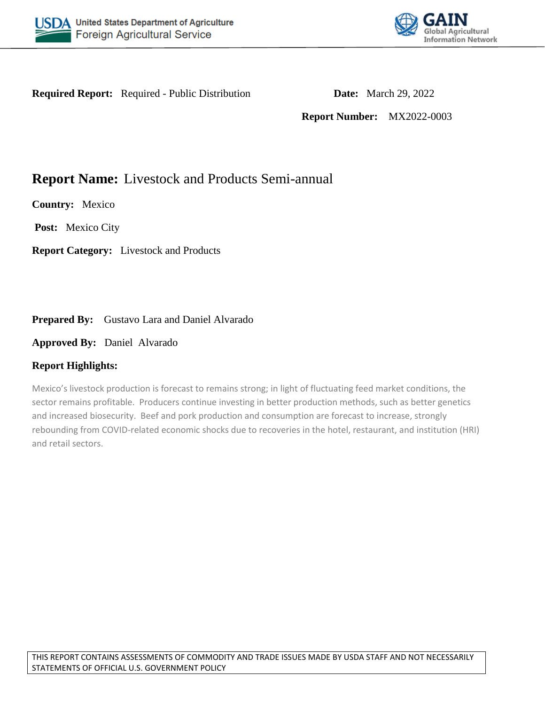



**Required Report:** Required - Public Distribution **Date:** March 29, 2022

**Report Number:** MX2022-0003

# **Report Name:** Livestock and Products Semi-annual

**Country:** Mexico

**Post:** Mexico City

**Report Category:** Livestock and Products

# Prepared By: Gustavo Lara and Daniel Alvarado

**Approved By:** Daniel Alvarado

# **Report Highlights:**

Mexico's livestock production is forecast to remains strong; in light of fluctuating feed market conditions, the sector remains profitable. Producers continue investing in better production methods, such as better genetics and increased biosecurity. Beef and pork production and consumption are forecast to increase, strongly rebounding from COVID-related economic shocks due to recoveries in the hotel, restaurant, and institution (HRI) and retail sectors.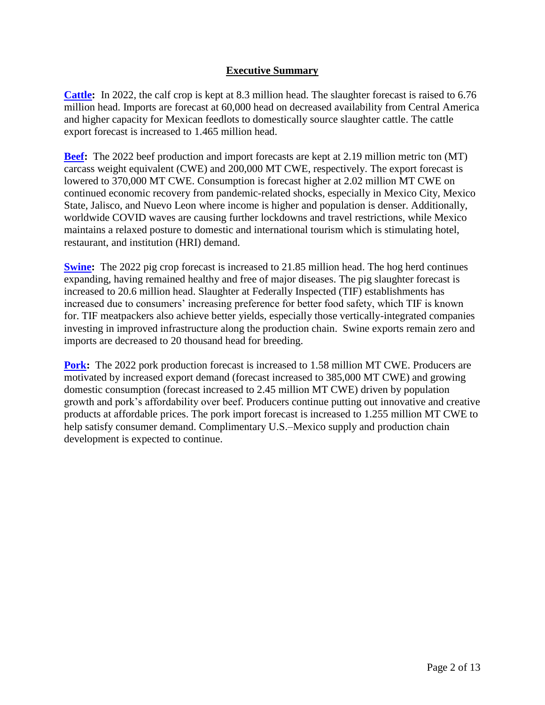# **Executive Summary**

**[Cattle:](#page-2-0)** In 2022, the calf crop is kept at 8.3 million head. The slaughter forecast is raised to 6.76 million head. Imports are forecast at 60,000 head on decreased availability from Central America and higher capacity for Mexican feedlots to domestically source slaughter cattle. The cattle export forecast is increased to 1.465 million head.

**[Beef:](#page-4-0)** The 2022 beef production and import forecasts are kept at 2.19 million metric ton (MT) carcass weight equivalent (CWE) and 200,000 MT CWE, respectively. The export forecast is lowered to 370,000 MT CWE. Consumption is forecast higher at 2.02 million MT CWE on continued economic recovery from pandemic-related shocks, especially in Mexico City, Mexico State, Jalisco, and Nuevo Leon where income is higher and population is denser. Additionally, worldwide COVID waves are causing further lockdowns and travel restrictions, while Mexico maintains a relaxed posture to domestic and international tourism which is stimulating hotel, restaurant, and institution (HRI) demand.

**[Swine:](#page-8-0)** The 2022 pig crop forecast is increased to 21.85 million head. The hog herd continues expanding, having remained healthy and free of major diseases. The pig slaughter forecast is increased to 20.6 million head. Slaughter at Federally Inspected (TIF) establishments has increased due to consumers' increasing preference for better food safety, which TIF is known for. TIF meatpackers also achieve better yields, especially those vertically-integrated companies investing in improved infrastructure along the production chain. Swine exports remain zero and imports are decreased to 20 thousand head for breeding.

**[Pork:](#page-10-0)** The 2022 pork production forecast is increased to 1.58 million MT CWE. Producers are motivated by increased export demand (forecast increased to 385,000 MT CWE) and growing domestic consumption (forecast increased to 2.45 million MT CWE) driven by population growth and pork's affordability over beef. Producers continue putting out innovative and creative products at affordable prices. The pork import forecast is increased to 1.255 million MT CWE to help satisfy consumer demand. Complimentary U.S.–Mexico supply and production chain development is expected to continue.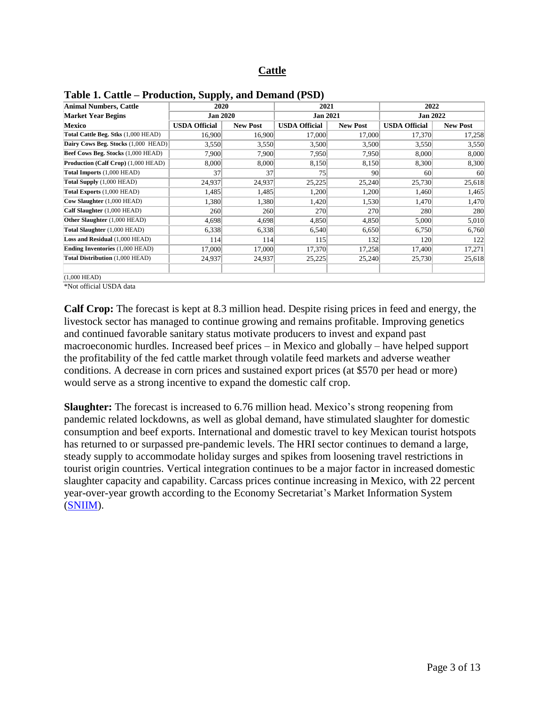## **Cattle**

| Animal Numbers, Cattle                 | 2020                 |                 | 2021                 |                 | 2022                 |                 |  |  |
|----------------------------------------|----------------------|-----------------|----------------------|-----------------|----------------------|-----------------|--|--|
| <b>Market Year Begins</b>              | <b>Jan 2020</b>      |                 | <b>Jan 2021</b>      |                 | <b>Jan 2022</b>      |                 |  |  |
| Mexico                                 | <b>USDA Official</b> | <b>New Post</b> | <b>USDA Official</b> | <b>New Post</b> | <b>USDA Official</b> | <b>New Post</b> |  |  |
| Total Cattle Beg. Stks (1,000 HEAD)    | 16,900               | 16,900          | 17,000               | 17,000          | 17,370               | 17,258          |  |  |
| Dairy Cows Beg. Stocks (1,000 HEAD)    | 3,550                | 3,550           | 3,500                | 3,500           | 3,550                | 3,550           |  |  |
| Beef Cows Beg. Stocks (1,000 HEAD)     | 7,900                | 7,900           | 7,950                | 7,950           | 8,000                | 8,000           |  |  |
| Production (Calf Crop) (1,000 HEAD)    | 8,000                | 8,000           | 8,150                | 8,150           | 8,300                | 8,300           |  |  |
| Total Imports (1,000 HEAD)             | 37                   | 37              | 75                   | 90              | 60                   | 60              |  |  |
| Total Supply (1,000 HEAD)              | 24,937               | 24,937          | 25,225               | 25,240          | 25,730               | 25,618          |  |  |
| Total Exports (1,000 HEAD)             | 1,485                | 1,485           | 1,200                | 1,200           | 1,460                | 1,465           |  |  |
| Cow Slaughter (1,000 HEAD)             | 1,380                | 1,380           | 1,420                | 1,530           | 1,470                | 1,470           |  |  |
| Calf Slaughter (1,000 HEAD)            | 260                  | 260             | 270                  | 270             | 280                  | 280             |  |  |
| Other Slaughter (1,000 HEAD)           | 4,698                | 4,698           | 4,850                | 4,850           | 5,000                | 5,010           |  |  |
| Total Slaughter (1,000 HEAD)           | 6.338                | 6,338           | 6,540                | 6,650           | 6,750                | 6,760           |  |  |
| Loss and Residual (1,000 HEAD)         | 114                  | 114             | 115                  | 132             | 120                  | 122             |  |  |
| <b>Ending Inventories (1,000 HEAD)</b> | 17,000               | 17,000          | 17,370               | 17,258          | 17,400               | 17,271          |  |  |
| Total Distribution (1,000 HEAD)        | 24,937               | 24,937          | 25,225               | 25,240          | 25,730               | 25,618          |  |  |
| $(1,000$ HEAD)                         |                      |                 |                      |                 |                      |                 |  |  |

<span id="page-2-0"></span>

| Table 1. Cattle – Production, Supply, and Demand (PSD) |  |  |  |
|--------------------------------------------------------|--|--|--|
|--------------------------------------------------------|--|--|--|

\*Not official USDA data

**Calf Crop:** The forecast is kept at 8.3 million head. Despite rising prices in feed and energy, the livestock sector has managed to continue growing and remains profitable. Improving genetics and continued favorable sanitary status motivate producers to invest and expand past macroeconomic hurdles. Increased beef prices – in Mexico and globally – have helped support the profitability of the fed cattle market through volatile feed markets and adverse weather conditions. A decrease in corn prices and sustained export prices (at \$570 per head or more) would serve as a strong incentive to expand the domestic calf crop.

**Slaughter:** The forecast is increased to 6.76 million head. Mexico's strong reopening from pandemic related lockdowns, as well as global demand, have stimulated slaughter for domestic consumption and beef exports. International and domestic travel to key Mexican tourist hotspots has returned to or surpassed pre-pandemic levels. The HRI sector continues to demand a large, steady supply to accommodate holiday surges and spikes from loosening travel restrictions in tourist origin countries. Vertical integration continues to be a major factor in increased domestic slaughter capacity and capability. Carcass prices continue increasing in Mexico, with 22 percent year-over-year growth according to the Economy Secretariat's Market Information System [\(SNIIM\)](http://www.economia-sniim.gob.mx/nuevo/Home.aspx?opcion=/SNIIM-Pecuarios-Nacionales/e_MenPec.asp?var=Bov).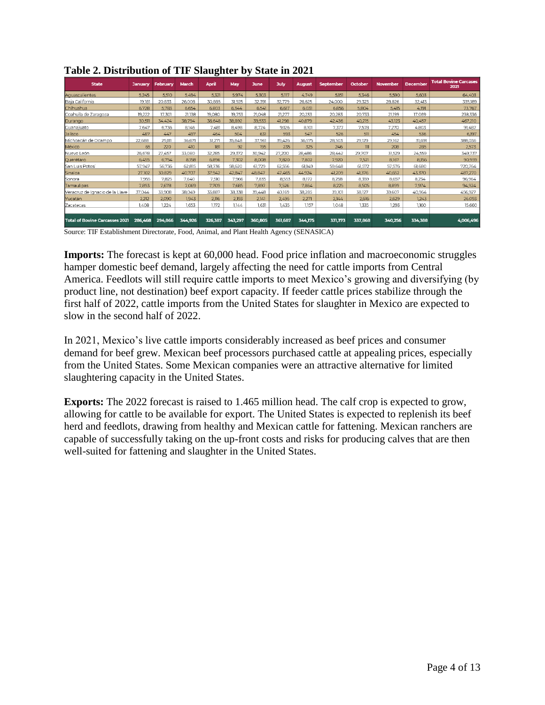| <b>State</b>                                          | <b>January</b> | February | March   | <b>April</b>                                                                                                                     | May     | <b>June</b> | July    | <b>August</b>         | <b>September</b> | October | <b>November</b> | <b>December</b> | <b>Total Bovine Carcases</b><br>2021 |
|-------------------------------------------------------|----------------|----------|---------|----------------------------------------------------------------------------------------------------------------------------------|---------|-------------|---------|-----------------------|------------------|---------|-----------------|-----------------|--------------------------------------|
| Aquascalientes                                        | 5,245          | 5,510    | 5,494   | 5,321                                                                                                                            | 5,974   | 5,303       | 5,117   | 4.749                 | 5.151            | 5,346   | 5,590           | 5,603           | 64,403                               |
| Baja California                                       | 19,181         | 20,833   | 26,008  | 30,885                                                                                                                           | 31,925  | 32.391      | 32,779  | 26,625                | 24,000           | 29,323  | 28,826          | 32.413          | 335,189                              |
| <b>Chihuahua</b>                                      | 6,728          | 5.783    | 6.654   | 6.803                                                                                                                            | 6.344   | 6.541       | 6.617   | 6.031                 | 6.856            | 5,804   | 5,415           | 4,191           | 73,767                               |
| Coahuila de Zaragoza                                  | 19.222         | 17.301   | 21,138  | 19,080                                                                                                                           | 19.753  | 21.048      | 21,277  | 20.233                | 20.283           | 20.733  | 21,199          | 17.069          | 238,336                              |
| Durango                                               | 30,511         | 34.424   | 38,794  | 36.648                                                                                                                           | 38.892  | 39,533      | 41,298  | 40,879                | 42,436           | 40.215  | 43,123          | 40.457          | 467,210                              |
| <b>Cuanaiuato</b>                                     | 7.647          | 6.736    | 8.146   | 7.481                                                                                                                            | 8.498   | 8.724       | 9.126   | 8.101                 | 7.377            | 7.578   | 7.270           | 4.803           | 91,487                               |
| Dalisco                                               | 487            | 447      | 497     | 464                                                                                                                              | 504     | 631         | 593     | 547                   | 526              | 511     | 454             | 536             | 6,197                                |
| Michoacán de Ocampo                                   | 22.688         | 29.111   | 36.671  | 31.271                                                                                                                           | 35.848  | 37.961      | 39.426  | 36.575                | 28.503           | 29.129  | 29.162          | 31.691          | 388,036                              |
| México                                                | 65             | 220      | 410     | 181                                                                                                                              | 92      | 195         | 235     | 325                   | 246              | $111$   | 208             | 285             | 2,573                                |
| Nuevo León                                            | 26,678         | 27,457   | 33,080  | 32.285                                                                                                                           | 29,372  | 30,942      | 27,200  | 28,486                | 28,442           | 29,707  | 31,529          | 24,559          | 349,737                              |
| Querétaro                                             | 6.455          | 6,754    | 8.158   | 6.896                                                                                                                            | 7.302   | 8,008       | 7.820   | 7.802                 | 7.920            | 7.521   | 8.167           | 8,156           | 90,959                               |
| San Luis Potosí                                       | 57,947         | 56,736   | 62,815  | 58,736                                                                                                                           | 58.620  | 61,729      | 62,556  | 61.149                | 59,648           | 61,572  | 57,576          | 61,680          | 720,764                              |
| Sinaloa                                               | 27,102         | 30.829   | 40.707  | 37.942                                                                                                                           | 42.847  | 48.847      | 47,465  | 44.924                | 41.209           | 41.376  | 40.652          | 43,370          | 487,270                              |
| Sonora                                                | 7.955          | 7.825    | 7.640   | 7.510                                                                                                                            | 7.966   | 7.835       | 8.553   | 8,172                 | 8,258            | 8.359   | 8.657           | 8.234           | 96,964                               |
| Tamaulipas                                            | 7,893          | 7.678    | 7.069   | 7.709                                                                                                                            | 7.685   | 7.897       | 7,526   | 7.864                 | 8,225            | 8.505   | 8.899           | 7.974           | 94,924                               |
| Veracruz de Ignacio de la Llave                       | 37,044         | 33,908   | 38,049  | 33,887                                                                                                                           | 38,338  | 39,448      | 40,169  | 38,285                | 39,101           | 38,127  | 39,607          | 40,964          | 456,927                              |
| Yucatán                                               | 2.212          | 2,090    | 1.943   | 2.116                                                                                                                            | 2.193   | 2.141       | 2.495   | 2.271                 | 2.144            | 2,616   | 2,629           | 1.243           | 26,093                               |
| <b>Zacatecas</b>                                      | 1,408          | 1.224    | 1.653   | 1.172                                                                                                                            | 1.144   | 1.631       | 1,435   | 1.157                 | 1.048            | 1.335   | 1,293           | 1.160           | 15,660                               |
| <b>Total of Bovine Carcasses 2021</b><br><del>.</del> | 286,468        | 294,866  | 344,926 | 326.387<br>$\mathbf{r}$ , $\mathbf{r}$ , $\mathbf{r}$ , $\mathbf{r}$ , $\mathbf{r}$ , $\mathbf{r}$ , $\mathbf{r}$ , $\mathbf{r}$ | 343,297 | 360,805     | 361,687 | 344,175<br>(CDMIAOIA) | 331,373          | 337,868 | 340,256         | 334,388         | 4,006,496                            |

**Table 2. Distribution of TIF Slaughter by State in 2021**

Source: TIF Establishment Directorate, Food, Animal, and Plant Health Agency (SENASICA)

**Imports:** The forecast is kept at 60,000 head. Food price inflation and macroeconomic struggles hamper domestic beef demand, largely affecting the need for cattle imports from Central America. Feedlots will still require cattle imports to meet Mexico's growing and diversifying (by product line, not destination) beef export capacity. If feeder cattle prices stabilize through the first half of 2022, cattle imports from the United States for slaughter in Mexico are expected to slow in the second half of 2022.

In 2021, Mexico's live cattle imports considerably increased as beef prices and consumer demand for beef grew. Mexican beef processors purchased cattle at appealing prices, especially from the United States. Some Mexican companies were an attractive alternative for limited slaughtering capacity in the United States.

**Exports:** The 2022 forecast is raised to 1.465 million head. The calf crop is expected to grow, allowing for cattle to be available for export. The United States is expected to replenish its beef herd and feedlots, drawing from healthy and Mexican cattle for fattening. Mexican ranchers are capable of successfully taking on the up-front costs and risks for producing calves that are then well-suited for fattening and slaughter in the United States.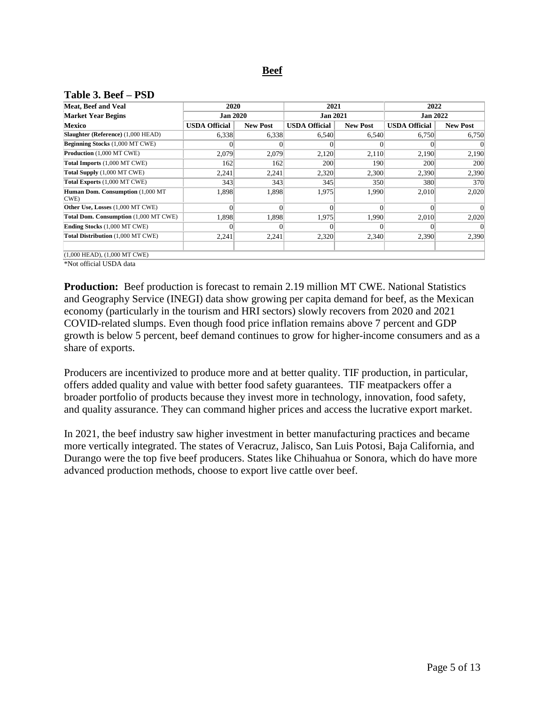# **Beef**

#### <span id="page-4-0"></span>**Table 3. Beef – PSD**

| Meat, Beef and Veal                       | 2020                 |                 | 2021                 |                 | 2022                 |                 |  |
|-------------------------------------------|----------------------|-----------------|----------------------|-----------------|----------------------|-----------------|--|
| <b>Market Year Begins</b>                 | <b>Jan 2020</b>      |                 | <b>Jan 2021</b>      |                 | <b>Jan 2022</b>      |                 |  |
| Mexico                                    | <b>USDA Official</b> | <b>New Post</b> | <b>USDA Official</b> | <b>New Post</b> | <b>USDA Official</b> | <b>New Post</b> |  |
| Slaughter (Reference) (1,000 HEAD)        | 6,338                | 6,338           | 6,540                | 6,540           | 6,750                | 6,750           |  |
| <b>Beginning Stocks</b> (1,000 MT CWE)    |                      | 0               |                      |                 |                      |                 |  |
| <b>Production</b> (1,000 MT CWE)          | 2.079                | 2,079           | 2,120                | 2,110           | 2,190                | 2,190           |  |
| Total Imports (1,000 MT CWE)              | 162                  | 162             | 200                  | 190             | 200                  | 200             |  |
| Total Supply (1,000 MT CWE)               | 2,241                | 2,241           | 2,320                | 2,300           | 2,390                | 2,390           |  |
| Total Exports (1,000 MT CWE)              | 343                  | 343             | 345                  | 350             | 380                  | 370             |  |
| Human Dom. Consumption (1,000 MT)<br>CWE) | 1,898                | 1,898           | 1,975                | 1,990           | 2,010                | 2,020           |  |
| Other Use, Losses (1,000 MT CWE)          |                      | $\Omega$        | $\Omega$             |                 |                      |                 |  |
| Total Dom. Consumption (1,000 MT CWE)     | 1,898                | 1,898           | 1,975                | 1,990           | 2,010                | 2,020           |  |
| <b>Ending Stocks</b> (1,000 MT CWE)       |                      | $\Omega$        |                      | $\Omega$        |                      | $\Omega$        |  |
| Total Distribution (1,000 MT CWE)         | 2,241                | 2,241           | 2,320                | 2,340           | 2,390                | 2,390           |  |
| $(1,000$ HEAD), $(1,000$ MT CWE)          |                      |                 |                      |                 |                      |                 |  |

\*Not official USDA data

**Production:** Beef production is forecast to remain 2.19 million MT CWE. National Statistics and Geography Service (INEGI) data show growing per capita demand for beef, as the Mexican economy (particularly in the tourism and HRI sectors) slowly recovers from 2020 and 2021 COVID-related slumps. Even though food price inflation remains above 7 percent and GDP growth is below 5 percent, beef demand continues to grow for higher-income consumers and as a share of exports.

Producers are incentivized to produce more and at better quality. TIF production, in particular, offers added quality and value with better food safety guarantees. TIF meatpackers offer a broader portfolio of products because they invest more in technology, innovation, food safety, and quality assurance. They can command higher prices and access the lucrative export market.

In 2021, the beef industry saw higher investment in better manufacturing practices and became more vertically integrated. The states of Veracruz, Jalisco, San Luis Potosi, Baja California, and Durango were the top five beef producers. States like Chihuahua or Sonora, which do have more advanced production methods, choose to export live cattle over beef.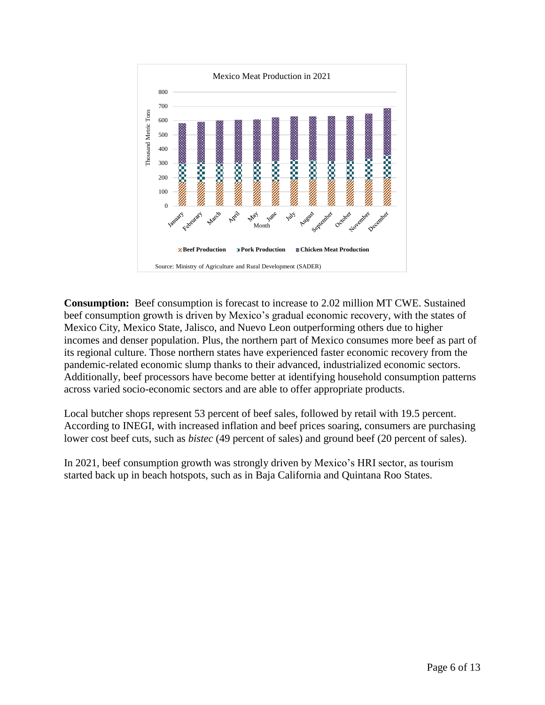

**Consumption:** Beef consumption is forecast to increase to 2.02 million MT CWE. Sustained beef consumption growth is driven by Mexico's gradual economic recovery, with the states of Mexico City, Mexico State, Jalisco, and Nuevo Leon outperforming others due to higher incomes and denser population. Plus, the northern part of Mexico consumes more beef as part of its regional culture. Those northern states have experienced faster economic recovery from the pandemic-related economic slump thanks to their advanced, industrialized economic sectors. Additionally, beef processors have become better at identifying household consumption patterns across varied socio-economic sectors and are able to offer appropriate products.

Local butcher shops represent 53 percent of beef sales, followed by retail with 19.5 percent. According to INEGI, with increased inflation and beef prices soaring, consumers are purchasing lower cost beef cuts, such as *bistec* (49 percent of sales) and ground beef (20 percent of sales).

In 2021, beef consumption growth was strongly driven by Mexico's HRI sector, as tourism started back up in beach hotspots, such as in Baja California and Quintana Roo States.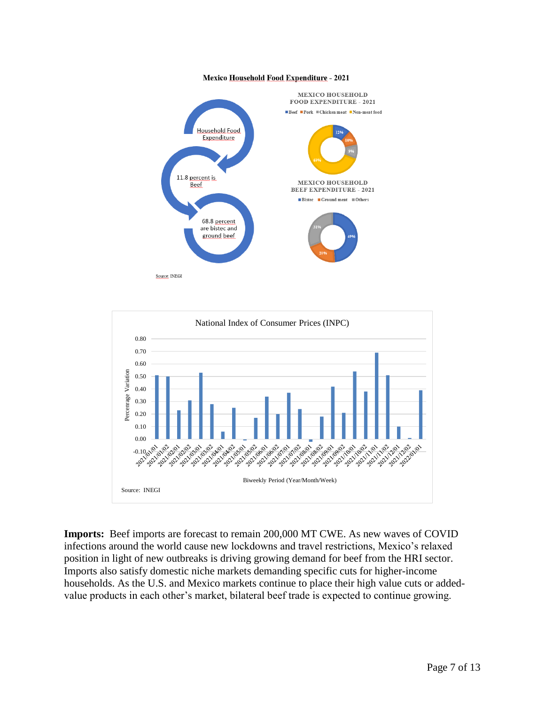



**Imports:** Beef imports are forecast to remain 200,000 MT CWE. As new waves of COVID infections around the world cause new lockdowns and travel restrictions, Mexico's relaxed position in light of new outbreaks is driving growing demand for beef from the HRI sector. Imports also satisfy domestic niche markets demanding specific cuts for higher-income households. As the U.S. and Mexico markets continue to place their high value cuts or addedvalue products in each other's market, bilateral beef trade is expected to continue growing.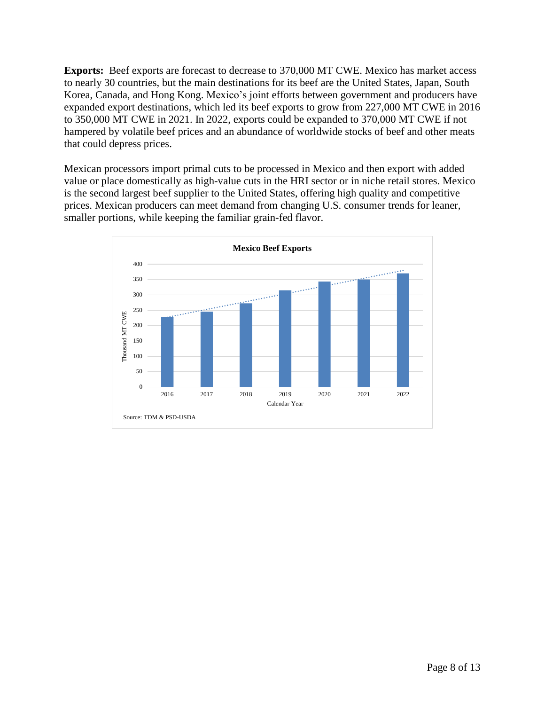**Exports:** Beef exports are forecast to decrease to 370,000 MT CWE. Mexico has market access to nearly 30 countries, but the main destinations for its beef are the United States, Japan, South Korea, Canada, and Hong Kong. Mexico's joint efforts between government and producers have expanded export destinations, which led its beef exports to grow from 227,000 MT CWE in 2016 to 350,000 MT CWE in 2021. In 2022, exports could be expanded to 370,000 MT CWE if not hampered by volatile beef prices and an abundance of worldwide stocks of beef and other meats that could depress prices.

Mexican processors import primal cuts to be processed in Mexico and then export with added value or place domestically as high-value cuts in the HRI sector or in niche retail stores. Mexico is the second largest beef supplier to the United States, offering high quality and competitive prices. Mexican producers can meet demand from changing U.S. consumer trends for leaner, smaller portions, while keeping the familiar grain-fed flavor.

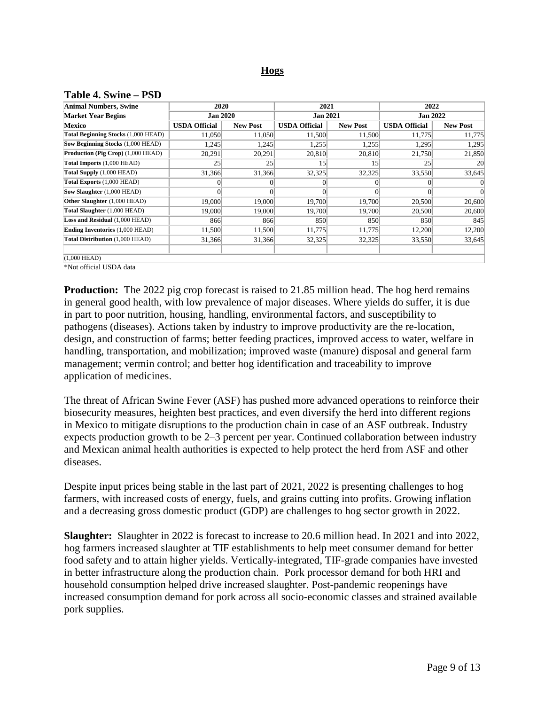# **Hogs**

<span id="page-8-0"></span>

|  |  |  |  | Table 4. Swine – PSD |
|--|--|--|--|----------------------|
|--|--|--|--|----------------------|

| <b>Animal Numbers, Swine</b>             | 2020                 |                 | 2021                 |                 | 2022                 |                 |  |
|------------------------------------------|----------------------|-----------------|----------------------|-----------------|----------------------|-----------------|--|
| <b>Market Year Begins</b>                | <b>Jan 2020</b>      |                 | <b>Jan 2021</b>      |                 | <b>Jan 2022</b>      |                 |  |
| Mexico                                   | <b>USDA Official</b> | <b>New Post</b> | <b>USDA Official</b> | <b>New Post</b> | <b>USDA Official</b> | <b>New Post</b> |  |
| Total Beginning Stocks (1,000 HEAD)      | 11,050               | 11,050          | 11,500               | 11,500          | 11,775               | 11,775          |  |
| <b>Sow Beginning Stocks (1,000 HEAD)</b> | 1,245                | 1,245           | 1,255                | 1,255           | 1,295                | 1,295           |  |
| Production (Pig Crop) (1,000 HEAD)       | 20,291               | 20,291          | 20,810               | 20,810          | 21,750               | 21,850          |  |
| Total Imports (1,000 HEAD)               | 25                   | 25              | 15                   | 15              | 25                   | 20              |  |
| Total Supply (1,000 HEAD)                | 31,366               | 31,366          | 32,325               | 32,325          | 33,550               | 33,645          |  |
| Total Exports (1,000 HEAD)               | $\Omega$             | $\Omega$        | $\vert$              | 0               | 0                    | $\Omega$        |  |
| Sow Slaughter (1,000 HEAD)               | $\theta$             |                 |                      |                 |                      | $\Omega$        |  |
| Other Slaughter (1,000 HEAD)             | 19,000               | 19,000          | 19,700               | 19,700          | 20,500               | 20,600          |  |
| Total Slaughter (1,000 HEAD)             | 19,000               | 19,000          | 19,700               | 19,700          | 20,500               | 20,600          |  |
| Loss and Residual (1,000 HEAD)           | 866                  | 866             | 850                  | 850             | 850                  | 845             |  |
| <b>Ending Inventories (1,000 HEAD)</b>   | 11,500               | 11,500          | 11,775               | 11,775          | 12,200               | 12,200          |  |
| Total Distribution (1,000 HEAD)          | 31,366               | 31,366          | 32,325               | 32,325          | 33,550               | 33,645          |  |
| $(1,000$ HEAD)                           |                      |                 |                      |                 |                      |                 |  |

\*Not official USDA data

**Production:** The 2022 pig crop forecast is raised to 21.85 million head. The hog herd remains in general good health, with low prevalence of major diseases. Where yields do suffer, it is due in part to poor nutrition, housing, handling, environmental factors, and susceptibility to pathogens (diseases). Actions taken by industry to improve productivity are the re-location, design, and construction of farms; better feeding practices, improved access to water, welfare in handling, transportation, and mobilization; improved waste (manure) disposal and general farm management; vermin control; and better hog identification and traceability to improve application of medicines.

The threat of African Swine Fever (ASF) has pushed more advanced operations to reinforce their biosecurity measures, heighten best practices, and even diversify the herd into different regions in Mexico to mitigate disruptions to the production chain in case of an ASF outbreak. Industry expects production growth to be 2–3 percent per year. Continued collaboration between industry and Mexican animal health authorities is expected to help protect the herd from ASF and other diseases.

Despite input prices being stable in the last part of 2021, 2022 is presenting challenges to hog farmers, with increased costs of energy, fuels, and grains cutting into profits. Growing inflation and a decreasing gross domestic product (GDP) are challenges to hog sector growth in 2022.

**Slaughter:** Slaughter in 2022 is forecast to increase to 20.6 million head. In 2021 and into 2022, hog farmers increased slaughter at TIF establishments to help meet consumer demand for better food safety and to attain higher yields. Vertically-integrated, TIF-grade companies have invested in better infrastructure along the production chain. Pork processor demand for both HRI and household consumption helped drive increased slaughter. Post-pandemic reopenings have increased consumption demand for pork across all socio-economic classes and strained available pork supplies.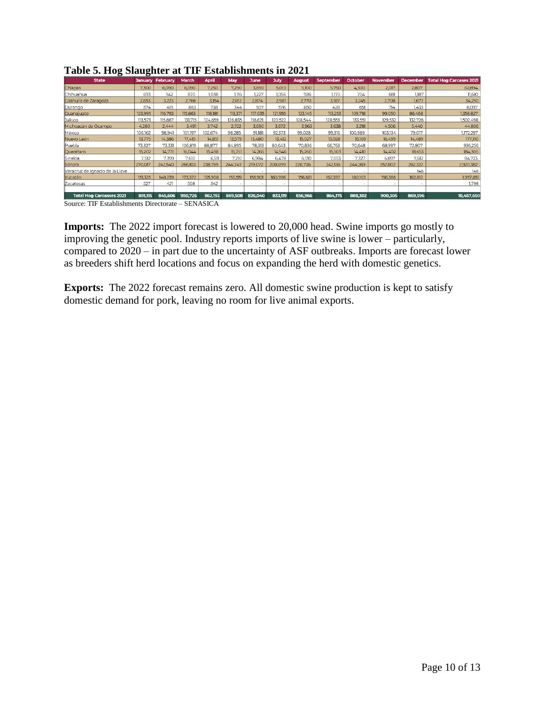| 0<br><b>State</b>               | 0       | <b>January February</b> | March                    | <b>April</b> | May     | <b>June</b> | <b>July</b> | <b>August</b> | <b>September</b> | October | November | December | <b>Total Hog Carcases 2021</b> |
|---------------------------------|---------|-------------------------|--------------------------|--------------|---------|-------------|-------------|---------------|------------------|---------|----------|----------|--------------------------------|
| Chiapas                         | 7.300   | 6,090                   | 6,090                    | 7,250        | 7,290   | 3,890       | 5,010       | 5,100         | 5,750            | 4.300   | 2,017    | 2,807    | 62,894                         |
| <b>Chihuahua</b>                | 693     | 942                     | 870                      | 1.038        | 1.116   | 1.227       | 1.056       | 926           | 1.170            | 704     | 681      | 1.187    | 11.610                         |
| Coahuila de Zaragoza            | 2,853   | 3.223                   | 2.766                    | 3.154        | 2.812   | 2.874       | 2.981       | 2.770         | 3,187            | 3.245   | 2.708    | 1,677    | 34,250                         |
| Durango                         | 574     | 419                     | 863                      | 738          | 344     | 507         | 576         | 850           | 428              | 65      | 714      | 1.433    | 8,097                          |
| Guanajuato                      | 123,995 | 116,793                 | 115,863                  | 118,181      | 113,371 | 117,035     | 121,955     | 123,145       | 113,253          | 109,718 | 99,050   | 86,468   | 1,358,827                      |
| Jalisco                         | 113.573 | 115,667                 | 131.715                  | 124.659      | 126,835 | 116,621     | 120,522     | 128.544       | 128,553          | 133,551 | 129,532  | 132,726  | 1,502,498                      |
| Michoacán de Ocampo             | 4,280   | 2.444                   | 3.491                    | 3,742        | 2,722   | 3,690       | 3,672       | 3,963         | 3,638            | 3,218   | 4,506    | 5,440    | 44,806                         |
| México                          | 106.162 | 98.941                  | 101.197                  | 102.674      | 98.285  | 91.181      | 92,373      | 99.028        | 99,316           | 00.989  | 103,134  | 79.017   | 172,297                        |
| Nuevo León                      | 13,775  | 14,386                  | 17.415                   | 14.851       | 13,579  | 13.480      | 13.412      | 15.027        | 15,028           | 15,169  | 16.499   | 14,489   | 177,110                        |
| Puebla                          | 73,327  | 73,331                  | 06,819                   | 88,877       | 84,895  | 78,313      | 80,643      | 70.836        | 66,763           | 70,648  | 68,997   | 72,807   | 936,256                        |
| Querétaro                       | 15,202  | 14,771                  | 16,044                   | 15.498       | 15,751  | 14,265      | 14.546      | 15.260        | 15,503           | 14.410  | 14,402   | 18,653   | 184,305                        |
| Sinaloa                         | 7.512   | 7.399                   | 7,610                    | 6.511        | 7.210   | 6.984       | 6.478       | 6.130         | 7,053            | 7.327   | 6,897    | 7.612    | 84,723                         |
| Sonora                          | 270,017 | 242,540                 | 266,103                  | 238,769      | 244,747 | 219,072     | 208,899     | 228,706       | 242,136          | 244,269 | 252,802  | 262,322  | 2,920,382                      |
| Veracruz de Ignacio de la Llave | ٠       |                         | $\overline{\phantom{a}}$ |              |         |             |             |               |                  |         |          | 146      | 146                            |
| <b>Yucatán</b>                  | 151,325 | 148,239                 | 173,372                  | 135,908      | 150,551 | 156,901     | 160,996     | 156,681       | 162,397          | 180,103 | 198,366  | 182,812  | 1,957,651                      |
| Zacatecas                       | 527     | 421                     | 508                      | 342          |         |             |             |               |                  |         |          |          | 1,798                          |
|                                 |         |                         |                          |              |         |             |             |               |                  |         |          |          |                                |
| <b>Total Hog Carcasses 2021</b> | 891.115 | 845,606                 | 950,726                  | 862,192      | 869,508 | 826,040     | 833,119     | 856,966       | 864,175          | 888,302 | 900,305  | 869,596  | 10,457,650                     |

**Table 5. Hog Slaughter at TIF Establishments in 2021**

Source: TIF Establishments Directorate – SENASICA

**Imports:** The 2022 import forecast is lowered to 20,000 head. Swine imports go mostly to improving the genetic pool. Industry reports imports of live swine is lower – particularly, compared to 2020 – in part due to the uncertainty of ASF outbreaks. Imports are forecast lower as breeders shift herd locations and focus on expanding the herd with domestic genetics.

**Exports:** The 2022 forecast remains zero. All domestic swine production is kept to satisfy domestic demand for pork, leaving no room for live animal exports.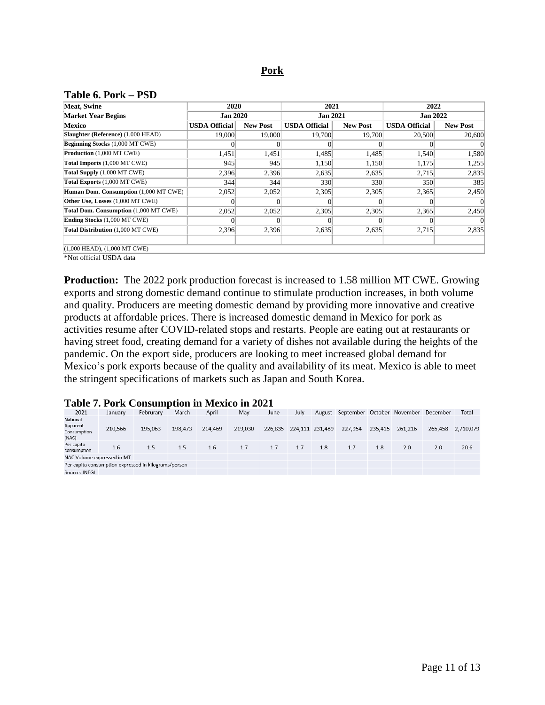#### **Pork**

#### <span id="page-10-0"></span>**Table 6. Pork – PSD**

| <b>Meat, Swine</b>                     | 2020                 |                 | 2021                 |                 | 2022                 |                 |  |  |
|----------------------------------------|----------------------|-----------------|----------------------|-----------------|----------------------|-----------------|--|--|
| <b>Market Year Begins</b>              | <b>Jan 2020</b>      |                 | <b>Jan 2021</b>      |                 | <b>Jan 2022</b>      |                 |  |  |
| <b>Mexico</b>                          | <b>USDA Official</b> | <b>New Post</b> | <b>USDA Official</b> | <b>New Post</b> | <b>USDA Official</b> | <b>New Post</b> |  |  |
| Slaughter (Reference) (1,000 HEAD)     | 19,000               | 19,000          | 19.700               | 19,700          | 20,500               | 20,600          |  |  |
| <b>Beginning Stocks</b> (1,000 MT CWE) |                      |                 |                      | 0               |                      |                 |  |  |
| Production (1,000 MT CWE)              | 1,451                | 1,451           | 1,485                | 1,485           | 1,540                | 1,580           |  |  |
| Total Imports (1,000 MT CWE)           | 945                  | 945             | 1,150                | 1,150           | 1,175                | 1,255           |  |  |
| Total Supply (1,000 MT CWE)            | 2,396                | 2,396           | 2,635                | 2,635           | 2,715                | 2,835           |  |  |
| Total Exports (1,000 MT CWE)           | 344                  | 344             | 330                  | 330             | 350                  | 385             |  |  |
| Human Dom. Consumption (1,000 MT CWE)  | 2,052                | 2,052           | 2,305                | 2,305           | 2,365                | 2,450           |  |  |
| Other Use, Losses (1,000 MT CWE)       |                      | $\Omega$        | 0                    | $\Omega$        | 0                    | $\theta$        |  |  |
| Total Dom. Consumption (1,000 MT CWE)  | 2,052                | 2,052           | 2,305                | 2,305           | 2,365                | 2,450           |  |  |
| <b>Ending Stocks</b> (1,000 MT CWE)    |                      |                 |                      | $_{0}$          |                      |                 |  |  |
| Total Distribution (1,000 MT CWE)      | 2,396                | 2,396           | 2,635                | 2,635           | 2,715                | 2,835           |  |  |
| $(1,000$ HEAD), $(1,000$ MT CWE)       |                      |                 |                      |                 |                      |                 |  |  |

\*Not official USDA data

**Production:** The 2022 pork production forecast is increased to 1.58 million MT CWE. Growing exports and strong domestic demand continue to stimulate production increases, in both volume and quality. Producers are meeting domestic demand by providing more innovative and creative products at affordable prices. There is increased domestic demand in Mexico for pork as activities resume after COVID-related stops and restarts. People are eating out at restaurants or having street food, creating demand for a variety of dishes not available during the heights of the pandemic. On the export side, producers are looking to meet increased global demand for Mexico's pork exports because of the quality and availability of its meat. Mexico is able to meet the stringent specifications of markets such as Japan and South Korea.

### **Table 7. Pork Consumption in Mexico in 2021**

| 2021                                                 | January | Februrary | March   | April   | May     | June    | July            | August | September October November |         |         | December | Total     |
|------------------------------------------------------|---------|-----------|---------|---------|---------|---------|-----------------|--------|----------------------------|---------|---------|----------|-----------|
| National<br>Apparent<br>Consumption<br>(NAC)         | 210,566 | 195,063   | 198,473 | 214,469 | 219,030 | 226,835 | 224,111 231,489 |        | 227,954                    | 235,415 | 261,216 | 265,458  | 2,710,079 |
| Per capita<br>consumption                            | 1.6     | 1.5       | 1.5     | 1.6     | 1.7     | 1.7     | 1.7             | 1.8    | 1.7                        | 1.8     | 2.0     | 2.0      | 20.6      |
| NAC Volume expressed in MT                           |         |           |         |         |         |         |                 |        |                            |         |         |          |           |
| Per capita consumption expressed in kilograms/person |         |           |         |         |         |         |                 |        |                            |         |         |          |           |
| Source: INEGI                                        |         |           |         |         |         |         |                 |        |                            |         |         |          |           |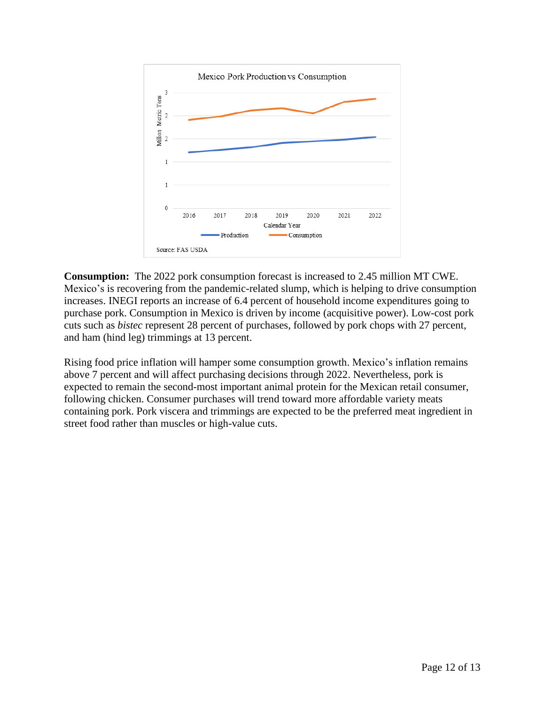

**Consumption:** The 2022 pork consumption forecast is increased to 2.45 million MT CWE. Mexico's is recovering from the pandemic-related slump, which is helping to drive consumption increases. INEGI reports an increase of 6.4 percent of household income expenditures going to purchase pork. Consumption in Mexico is driven by income (acquisitive power). Low-cost pork cuts such as *bistec* represent 28 percent of purchases, followed by pork chops with 27 percent, and ham (hind leg) trimmings at 13 percent.

Rising food price inflation will hamper some consumption growth. Mexico's inflation remains above 7 percent and will affect purchasing decisions through 2022. Nevertheless, pork is expected to remain the second-most important animal protein for the Mexican retail consumer, following chicken. Consumer purchases will trend toward more affordable variety meats containing pork. Pork viscera and trimmings are expected to be the preferred meat ingredient in street food rather than muscles or high-value cuts.